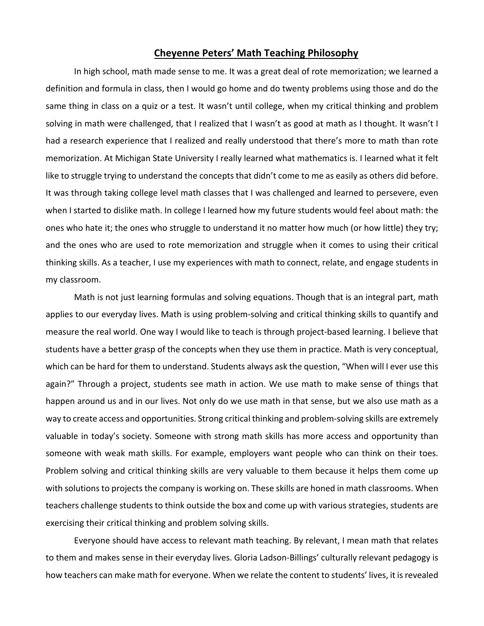## **Cheyenne Peters' Math Teaching Philosophy**

In high school, math made sense to me. It was a great deal of rote memorization; we learned a definition and formula in class, then I would go home and do twenty problems using those and do the same thing in class on a quiz or a test. It wasn't until college, when my critical thinking and problem solving in math were challenged, that I realized that I wasn't as good at math as I thought. It wasn't I had a research experience that I realized and really understood that there's more to math than rote memorization. At Michigan State University I really learned what mathematics is. I learned what it felt like to struggle trying to understand the concepts that didn't come to me as easily as others did before. It was through taking college level math classes that I was challenged and learned to persevere, even when I started to dislike math. In college I learned how my future students would feel about math: the ones who hate it; the ones who struggle to understand it no matter how much (or how little) they try; and the ones who are used to rote memorization and struggle when it comes to using their critical thinking skills. As a teacher, I use my experiences with math to connect, relate, and engage students in my classroom.

Math is not just learning formulas and solving equations. Though that is an integral part, math applies to our everyday lives. Math is using problem-solving and critical thinking skills to quantify and measure the real world. One way I would like to teach is through project-based learning. I believe that students have a better grasp of the concepts when they use them in practice. Math is very conceptual, which can be hard for them to understand. Students always ask the question, "When will I ever use this again?" Through a project, students see math in action. We use math to make sense of things that happen around us and in our lives. Not only do we use math in that sense, but we also use math as a way to create access and opportunities. Strong critical thinking and problem-solving skills are extremely valuable in today's society. Someone with strong math skills has more access and opportunity than someone with weak math skills. For example, employers want people who can think on their toes. Problem solving and critical thinking skills are very valuable to them because it helps them come up with solutions to projects the company is working on. These skills are honed in math classrooms. When teachers challenge students to think outside the box and come up with various strategies, students are exercising their critical thinking and problem solving skills.

Everyone should have access to relevant math teaching. By relevant, I mean math that relates to them and makes sense in their everyday lives. Gloria Ladson-Billings' culturally relevant pedagogy is how teachers can make math for everyone. When we relate the content to students' lives, it is revealed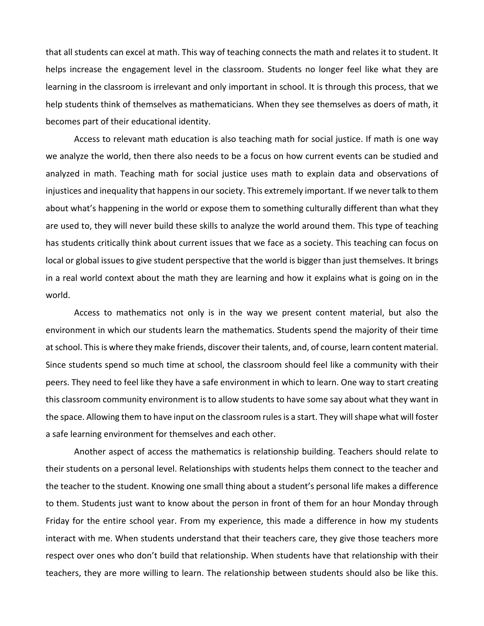that all students can excel at math. This way of teaching connects the math and relates it to student. It helps increase the engagement level in the classroom. Students no longer feel like what they are learning in the classroom is irrelevant and only important in school. It is through this process, that we help students think of themselves as mathematicians. When they see themselves as doers of math, it becomes part of their educational identity.

Access to relevant math education is also teaching math for social justice. If math is one way we analyze the world, then there also needs to be a focus on how current events can be studied and analyzed in math. Teaching math for social justice uses math to explain data and observations of injustices and inequality that happens in our society. This extremely important. If we never talk to them about what's happening in the world or expose them to something culturally different than what they are used to, they will never build these skills to analyze the world around them. This type of teaching has students critically think about current issues that we face as a society. This teaching can focus on local or global issues to give student perspective that the world is bigger than just themselves. It brings in a real world context about the math they are learning and how it explains what is going on in the world.

Access to mathematics not only is in the way we present content material, but also the environment in which our students learn the mathematics. Students spend the majority of their time at school. This is where they make friends, discover their talents, and, of course, learn content material. Since students spend so much time at school, the classroom should feel like a community with their peers. They need to feel like they have a safe environment in which to learn. One way to start creating this classroom community environment is to allow students to have some say about what they want in the space. Allowing them to have input on the classroom rules is a start. They will shape what will foster a safe learning environment for themselves and each other.

Another aspect of access the mathematics is relationship building. Teachers should relate to their students on a personal level. Relationships with students helps them connect to the teacher and the teacher to the student. Knowing one small thing about a student's personal life makes a difference to them. Students just want to know about the person in front of them for an hour Monday through Friday for the entire school year. From my experience, this made a difference in how my students interact with me. When students understand that their teachers care, they give those teachers more respect over ones who don't build that relationship. When students have that relationship with their teachers, they are more willing to learn. The relationship between students should also be like this.